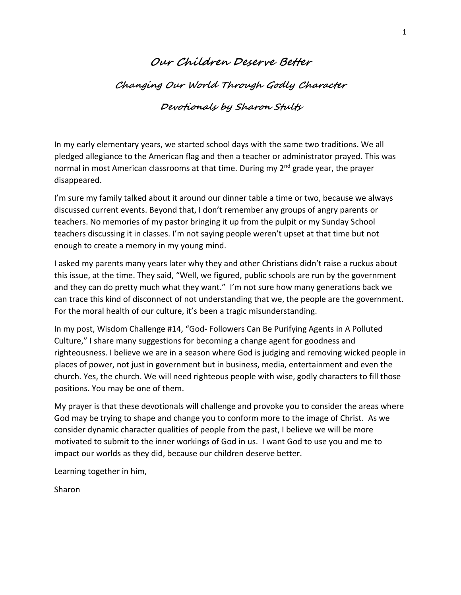#### **Our Children Deserve Better**

**Changing Our World Through Godly Character**

### **Devotionals by Sharon Stults**

In my early elementary years, we started school days with the same two traditions. We all pledged allegiance to the American flag and then a teacher or administrator prayed. This was normal in most American classrooms at that time. During my 2<sup>nd</sup> grade year, the prayer disappeared.

I'm sure my family talked about it around our dinner table a time or two, because we always discussed current events. Beyond that, I don't remember any groups of angry parents or teachers. No memories of my pastor bringing it up from the pulpit or my Sunday School teachers discussing it in classes. I'm not saying people weren't upset at that time but not enough to create a memory in my young mind.

I asked my parents many years later why they and other Christians didn't raise a ruckus about this issue, at the time. They said, "Well, we figured, public schools are run by the government and they can do pretty much what they want." I'm not sure how many generations back we can trace this kind of disconnect of not understanding that we, the people are the government. For the moral health of our culture, it's been a tragic misunderstanding.

In my post, Wisdom Challenge #14, "God- Followers Can Be Purifying Agents in A Polluted Culture," I share many suggestions for becoming a change agent for goodness and righteousness. I believe we are in a season where God is judging and removing wicked people in places of power, not just in government but in business, media, entertainment and even the church. Yes, the church. We will need righteous people with wise, godly characters to fill those positions. You may be one of them.

My prayer is that these devotionals will challenge and provoke you to consider the areas where God may be trying to shape and change you to conform more to the image of Christ. As we consider dynamic character qualities of people from the past, I believe we will be more motivated to submit to the inner workings of God in us. I want God to use you and me to impact our worlds as they did, because our children deserve better.

Learning together in him,

Sharon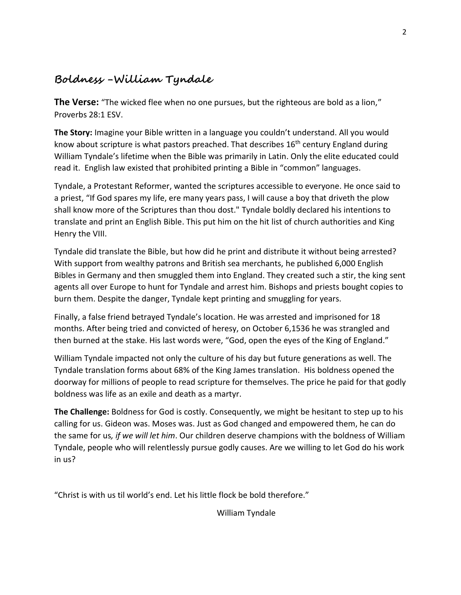# **Boldness -William Tyndale**

**The Verse:** "The wicked flee when no one pursues, but the righteous are bold as a lion," Proverbs 28:1 ESV.

**The Story:** Imagine your Bible written in a language you couldn't understand. All you would know about scripture is what pastors preached. That describes 16<sup>th</sup> century England during William Tyndale's lifetime when the Bible was primarily in Latin. Only the elite educated could read it. English law existed that prohibited printing a Bible in "common" languages.

Tyndale, a Protestant Reformer, wanted the scriptures accessible to everyone. He once said to a priest, "If God spares my life, ere many years pass, I will cause a boy that driveth the plow shall know more of the Scriptures than thou dost." Tyndale boldly declared his intentions to translate and print an English Bible. This put him on the hit list of church authorities and King Henry the VIII.

Tyndale did translate the Bible, but how did he print and distribute it without being arrested? With support from wealthy patrons and British sea merchants, he published 6,000 English Bibles in Germany and then smuggled them into England. They created such a stir, the king sent agents all over Europe to hunt for Tyndale and arrest him. Bishops and priests bought copies to burn them. Despite the danger, Tyndale kept printing and smuggling for years.

Finally, a false friend betrayed Tyndale's location. He was arrested and imprisoned for 18 months. After being tried and convicted of heresy, on October 6,1536 he was strangled and then burned at the stake. His last words were, "God, open the eyes of the King of England."

William Tyndale impacted not only the culture of his day but future generations as well. The Tyndale translation forms about 68% of the King James translation. His boldness opened the doorway for millions of people to read scripture for themselves. The price he paid for that godly boldness was life as an exile and death as a martyr.

**The Challenge:** Boldness for God is costly. Consequently, we might be hesitant to step up to his calling for us. Gideon was. Moses was. Just as God changed and empowered them, he can do the same for us*, if we will let him*. Our children deserve champions with the boldness of William Tyndale, people who will relentlessly pursue godly causes. Are we willing to let God do his work in us?

"Christ is with us til world's end. Let his little flock be bold therefore."

William Tyndale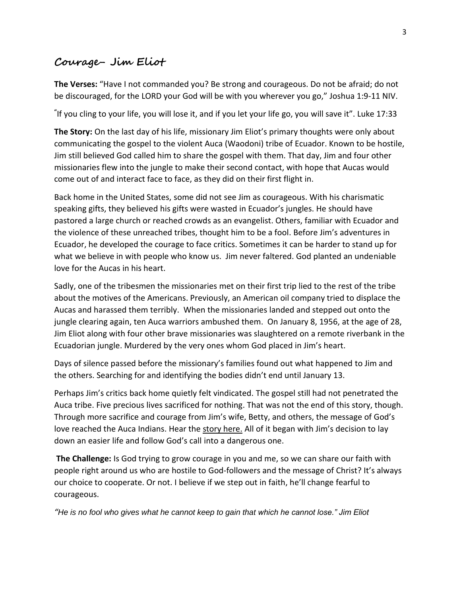### **Courage- Jim Eliot**

**The Verses:** "Have I not commanded you? Be strong and courageous. Do not be afraid; do not be discouraged, for the LORD your God will be with you wherever you go," Joshua 1:9-11 NIV.

**"** If you cling to your life, you will lose it, and if you let your life go, you will save it". Luke 17:33

**The Story:** On the last day of his life, missionary Jim Eliot's primary thoughts were only about communicating the gospel to the violent Auca (Waodoni) tribe of Ecuador. Known to be hostile, Jim still believed God called him to share the gospel with them. That day, Jim and four other missionaries flew into the jungle to make their second contact, with hope that Aucas would come out of and interact face to face, as they did on their first flight in.

Back home in the United States, some did not see Jim as courageous. With his charismatic speaking gifts, they believed his gifts were wasted in Ecuador's jungles. He should have pastored a large church or reached crowds as an evangelist. Others, familiar with Ecuador and the violence of these unreached tribes, thought him to be a fool. Before Jim's adventures in Ecuador, he developed the courage to face critics. Sometimes it can be harder to stand up for what we believe in with people who know us. Jim never faltered. God planted an undeniable love for the Aucas in his heart.

Sadly, one of the tribesmen the missionaries met on their first trip lied to the rest of the tribe about the motives of the Americans. Previously, an American oil company tried to displace the Aucas and harassed them terribly. When the missionaries landed and stepped out onto the jungle clearing again, ten Auca warriors ambushed them. On January 8, 1956, at the age of 28, Jim Eliot along with four other brave missionaries was slaughtered on a remote riverbank in the Ecuadorian jungle. Murdered by the very ones whom God placed in Jim's heart.

Days of silence passed before the missionary's families found out what happened to Jim and the others. Searching for and identifying the bodies didn't end until January 13.

Perhaps Jim's critics back home quietly felt vindicated. The gospel still had not penetrated the Auca tribe. Five precious lives sacrificed for nothing. That was not the end of this story, though. Through more sacrifice and courage from Jim's wife, Betty, and others, the message of God's love reached the Auca Indians. Hear the [story here.](https://www.thegospelcoalition.org/blogs/justin-taylor/they-were-no-fools-60-years-ago-today-the-martyrdom-of-jim-elliot-and-four-other-missionaries/) All of it began with Jim's decision to lay down an easier life and follow God's call into a dangerous one.

**The Challenge:** Is God trying to grow courage in you and me, so we can share our faith with people right around us who are hostile to God-followers and the message of Christ? It's always our choice to cooperate. Or not. I believe if we step out in faith, he'll change fearful to courageous.

*"He is no fool who gives what he cannot keep to gain that which he cannot lose." Jim Eliot*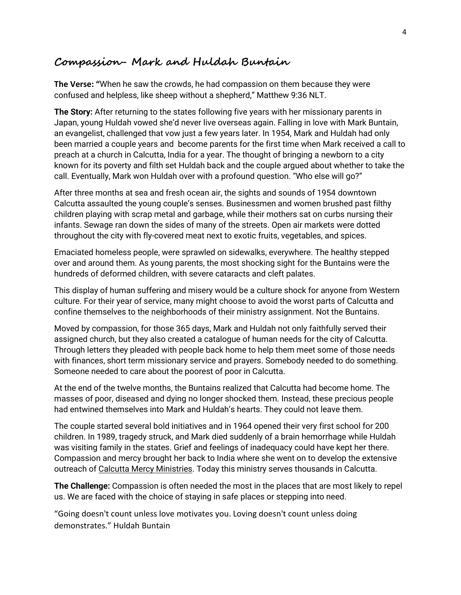#### **Compassion- Mark and Huldah Buntain**

**The Verse: "**When he saw the crowds, he had compassion on them because they were confused and helpless, like sheep without a shepherd," Matthew 9:36 NLT.

**The Story:** After returning to the states following five years with her missionary parents in Japan, young Huldah vowed she'd never live overseas again. Falling in love with Mark Buntain, an evangelist, challenged that vow just a few years later. In 1954, Mark and Huldah had only been married a couple years and become parents for the first time when Mark received a call to preach at a church in Calcutta, India for a year. The thought of bringing a newborn to a city known for its poverty and filth set Huldah back and the couple argued about whether to take the call. Eventually, Mark won Huldah over with a profound question. "Who else will go?"

After three months at sea and fresh ocean air, the sights and sounds of 1954 downtown Calcutta assaulted the young couple's senses. Businessmen and women brushed past filthy children playing with scrap metal and garbage, while their mothers sat on curbs nursing their infants. Sewage ran down the sides of many of the streets. Open air markets were dotted throughout the city with fly-covered meat next to exotic fruits, vegetables, and spices.

Emaciated homeless people, were sprawled on sidewalks, everywhere. The healthy stepped over and around them. As young parents, the most shocking sight for the Buntains were the hundreds of deformed children, with severe cataracts and cleft palates.

This display of human suffering and misery would be a culture shock for anyone from Western culture. For their year of service, many might choose to avoid the worst parts of Calcutta and confine themselves to the neighborhoods of their ministry assignment. Not the Buntains.

Moved by compassion, for those 365 days, Mark and Huldah not only faithfully served their assigned church, but they also created a catalogue of human needs for the city of Calcutta. Through letters they pleaded with people back home to help them meet some of those needs with finances, short term missionary service and prayers. Somebody needed to do something. Someone needed to care about the poorest of poor in Calcutta.

At the end of the twelve months, the Buntains realized that Calcutta had become home. The masses of poor, diseased and dying no longer shocked them. Instead, these precious people had entwined themselves into Mark and Huldah's hearts. They could not leave them.

The couple started several bold initiatives and in 1964 opened their very first school for 200 children. In 1989, tragedy struck, and Mark died suddenly of a brain hemorrhage while Huldah was visiting family in the states. Grief and feelings of inadequacy could have kept her there. Compassion and mercy brought her back to India where she went on to develop the extensive outreach of [Calcutta Mercy Ministries.](https://www.calcuttamercy.org/) Today this ministry serves thousands in Calcutta.

**The Challenge:** Compassion is often needed the most in the places that are most likely to repel us. We are faced with the choice of staying in safe places or stepping into need.

"Going doesn't count unless love motivates you. Loving doesn't count unless doing demonstrates." Huldah Buntain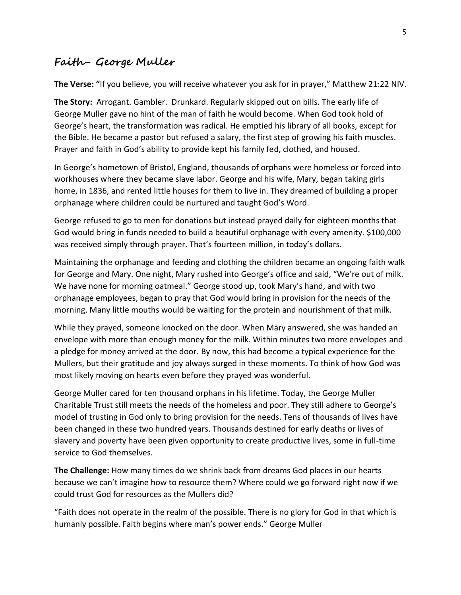### **Faith- George Muller**

**The Verse: "**If you believe, you will receive whatever you ask for in prayer," Matthew 21:22 NIV.

**The Story:** Arrogant. Gambler. Drunkard. Regularly skipped out on bills. The early life of George Muller gave no hint of the man of faith he would become. When God took hold of George's heart, the transformation was radical. He emptied his library of all books, except for the Bible. He became a pastor but refused a salary, the first step of growing his faith muscles. Prayer and faith in God's ability to provide kept his family fed, clothed, and housed.

In George's hometown of Bristol, England, thousands of orphans were homeless or forced into workhouses where they became slave labor. George and his wife, Mary, began taking girls home, in 1836, and rented little houses for them to live in. They dreamed of building a proper orphanage where children could be nurtured and taught God's Word.

George refused to go to men for donations but instead prayed daily for eighteen months that God would bring in funds needed to build a beautiful orphanage with every amenity. \$100,000 was received simply through prayer. That's fourteen million, in today's dollars.

Maintaining the orphanage and feeding and clothing the children became an ongoing faith walk for George and Mary. One night, Mary rushed into George's office and said, "We're out of milk. We have none for morning oatmeal." George stood up, took Mary's hand, and with two orphanage employees, began to pray that God would bring in provision for the needs of the morning. Many little mouths would be waiting for the protein and nourishment of that milk.

While they prayed, someone knocked on the door. When Mary answered, she was handed an envelope with more than enough money for the milk. Within minutes two more envelopes and a pledge for money arrived at the door. By now, this had become a typical experience for the Mullers, but their gratitude and joy always surged in these moments. To think of how God was most likely moving on hearts even before they prayed was wonderful.

George Muller cared for ten thousand orphans in his lifetime. Today, the George Muller Charitable Trust still meets the needs of the homeless and poor. They still adhere to George's model of trusting in God only to bring provision for the needs. Tens of thousands of lives have been changed in these two hundred years. Thousands destined for early deaths or lives of slavery and poverty have been given opportunity to create productive lives, some in full-time service to God themselves.

**The Challenge:** How many times do we shrink back from dreams God places in our hearts because we can't imagine how to resource them? Where could we go forward right now if we could trust God for resources as the Mullers did?

"Faith does not operate in the realm of the possible. There is no glory for God in that which is humanly possible. Faith begins where man's power ends." George Muller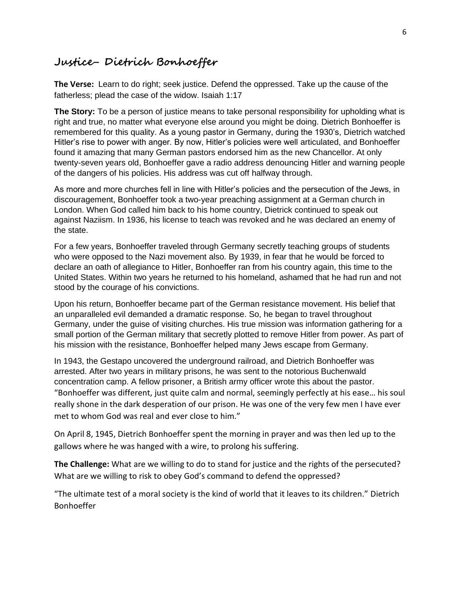#### **Justice- Dietrich Bonhoeffer**

**The Verse:** Learn to do right; seek justice. Defend the oppressed. Take up the cause of the fatherless; plead the case of the widow. Isaiah 1:17

**The Story:** To be a person of justice means to take personal responsibility for upholding what is right and true, no matter what everyone else around you might be doing. Dietrich Bonhoeffer is remembered for this quality. As a young pastor in Germany, during the 1930's, Dietrich watched Hitler's rise to power with anger. By now, Hitler's policies were well articulated, and Bonhoeffer found it amazing that many German pastors endorsed him as the new Chancellor. At only twenty-seven years old, Bonhoeffer gave a radio address denouncing Hitler and warning people of the dangers of his policies. His address was cut off halfway through.

As more and more churches fell in line with Hitler's policies and the persecution of the Jews, in discouragement, Bonhoeffer took a two-year preaching assignment at a German church in London. When God called him back to his home country, Dietrick continued to speak out against Naziism. In 1936, his license to teach was revoked and he was declared an enemy of the state.

For a few years, Bonhoeffer traveled through Germany secretly teaching groups of students who were opposed to the Nazi movement also. By 1939, in fear that he would be forced to declare an oath of allegiance to Hitler, Bonhoeffer ran from his country again, this time to the United States. Within two years he returned to his homeland, ashamed that he had run and not stood by the courage of his convictions.

Upon his return, Bonhoeffer became part of the German resistance movement. His belief that an unparalleled evil demanded a dramatic response. So, he began to travel throughout Germany, under the guise of visiting churches. His true mission was information gathering for a small portion of the German military that secretly plotted to remove Hitler from power. As part of his mission with the resistance, Bonhoeffer helped many Jews escape from Germany.

In 1943, the Gestapo uncovered the underground railroad, and Dietrich Bonhoeffer was arrested. After two years in military prisons, he was sent to the notorious Buchenwald concentration camp. A fellow prisoner, a British army officer wrote this about the pastor. "Bonhoeffer was different, just quite calm and normal, seemingly perfectly at his ease… his soul really shone in the dark desperation of our prison. He was one of the very few men I have ever met to whom God was real and ever close to him."

On April 8, 1945, Dietrich Bonhoeffer spent the morning in prayer and was then led up to the gallows where he was hanged with a wire, to prolong his suffering.

**The Challenge:** What are we willing to do to stand for justice and the rights of the persecuted? What are we willing to risk to obey God's command to defend the oppressed?

"The ultimate test of a moral society is the kind of world that it leaves to its children." Dietrich Bonhoeffer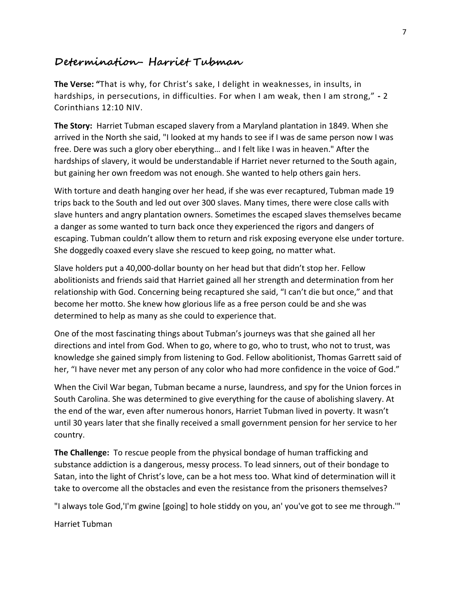#### **Determination- Harriet Tubman**

**The Verse: "**That is why, for Christ's sake, I delight in weaknesses, in insults, in hardships, in persecutions, in difficulties. For when I am weak, then I am strong," **-** 2 Corinthians 12:10 NIV.

**The Story:** Harriet Tubman escaped slavery from a Maryland plantation in 1849. When she arrived in the North she said, "I looked at my hands to see if I was de same person now I was free. Dere was such a glory ober eberything… and I felt like I was in heaven." After the hardships of slavery, it would be understandable if Harriet never returned to the South again, but gaining her own freedom was not enough. She wanted to help others gain hers.

With torture and death hanging over her head, if she was ever recaptured, Tubman made 19 trips back to the South and led out over 300 slaves. Many times, there were close calls with slave hunters and angry plantation owners. Sometimes the escaped slaves themselves became a danger as some wanted to turn back once they experienced the rigors and dangers of escaping. Tubman couldn't allow them to return and risk exposing everyone else under torture. She doggedly coaxed every slave she rescued to keep going, no matter what.

Slave holders put a 40,000-dollar bounty on her head but that didn't stop her. Fellow abolitionists and friends said that Harriet gained all her strength and determination from her relationship with God. Concerning being recaptured she said, "I can't die but once," and that become her motto. She knew how glorious life as a free person could be and she was determined to help as many as she could to experience that.

One of the most fascinating things about Tubman's journeys was that she gained all her directions and intel from God. When to go, where to go, who to trust, who not to trust, was knowledge she gained simply from listening to God. Fellow abolitionist, Thomas Garrett said of her, "I have never met any person of any color who had more confidence in the voice of God."

When the Civil War began, Tubman became a nurse, laundress, and spy for the Union forces in South Carolina. She was determined to give everything for the cause of abolishing slavery. At the end of the war, even after numerous honors, Harriet Tubman lived in poverty. It wasn't until 30 years later that she finally received a small government pension for her service to her country.

**The Challenge:** To rescue people from the physical bondage of human trafficking and substance addiction is a dangerous, messy process. To lead sinners, out of their bondage to Satan, into the light of Christ's love, can be a hot mess too. What kind of determination will it take to overcome all the obstacles and even the resistance from the prisoners themselves?

"I always tole God,'I'm gwine [going] to hole stiddy on you, an' you've got to see me through.'"

Harriet Tubman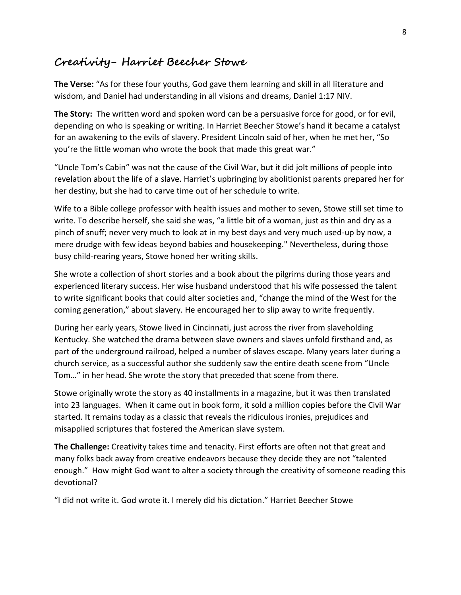### **Creativity- Harriet Beecher Stowe**

**The Verse:** "As for these four youths, God gave them learning and skill in all literature and wisdom, and Daniel had understanding in all visions and dreams, Daniel 1:17 NIV.

**The Story:** The written word and spoken word can be a persuasive force for good, or for evil, depending on who is speaking or writing. In Harriet Beecher Stowe's hand it became a catalyst for an awakening to the evils of slavery. President Lincoln said of her, when he met her, "So you're the little woman who wrote the book that made this great war."

"Uncle Tom's Cabin" was not the cause of the Civil War, but it did jolt millions of people into revelation about the life of a slave. Harriet's upbringing by abolitionist parents prepared her for her destiny, but she had to carve time out of her schedule to write.

Wife to a Bible college professor with health issues and mother to seven, Stowe still set time to write. To describe herself, she said she was, "a little bit of a woman, just as thin and dry as a pinch of snuff; never very much to look at in my best days and very much used-up by now, a mere drudge with few ideas beyond babies and housekeeping." Nevertheless, during those busy child-rearing years, Stowe honed her writing skills.

She wrote a collection of short stories and a book about the pilgrims during those years and experienced literary success. Her wise husband understood that his wife possessed the talent to write significant books that could alter societies and, "change the mind of the West for the coming generation," about slavery. He encouraged her to slip away to write frequently.

During her early years, Stowe lived in Cincinnati, just across the river from slaveholding Kentucky. She watched the drama between slave owners and slaves unfold firsthand and, as part of the underground railroad, helped a number of slaves escape. Many years later during a church service, as a successful author she suddenly saw the entire death scene from "Uncle Tom…" in her head. She wrote the story that preceded that scene from there.

Stowe originally wrote the story as 40 installments in a magazine, but it was then translated into 23 languages. When it came out in book form, it sold a million copies before the Civil War started. It remains today as a classic that reveals the ridiculous ironies, prejudices and misapplied scriptures that fostered the American slave system.

**The Challenge:** Creativity takes time and tenacity. First efforts are often not that great and many folks back away from creative endeavors because they decide they are not "talented enough." How might God want to alter a society through the creativity of someone reading this devotional?

"I did not write it. God wrote it. I merely did his dictation." Harriet Beecher Stowe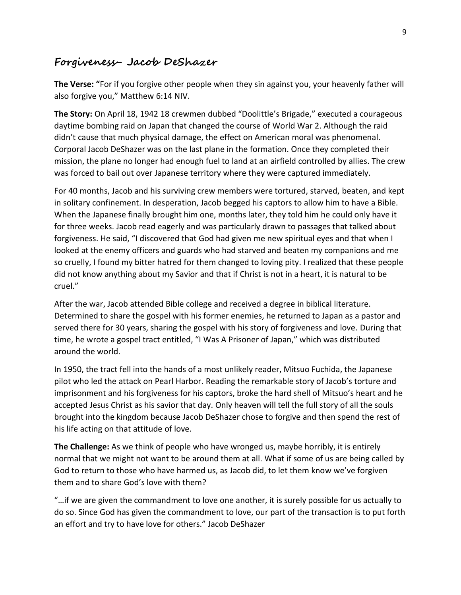### **Forgiveness- Jacob DeShazer**

**The Verse: "**For if you forgive other people when they sin against you, your heavenly father will also forgive you," Matthew 6:14 NIV.

**The Story:** On April 18, 1942 18 crewmen dubbed "Doolittle's Brigade," executed a courageous daytime bombing raid on Japan that changed the course of World War 2. Although the raid didn't cause that much physical damage, the effect on American moral was phenomenal. Corporal Jacob DeShazer was on the last plane in the formation. Once they completed their mission, the plane no longer had enough fuel to land at an airfield controlled by allies. The crew was forced to bail out over Japanese territory where they were captured immediately.

For 40 months, Jacob and his surviving crew members were tortured, starved, beaten, and kept in solitary confinement. In desperation, Jacob begged his captors to allow him to have a Bible. When the Japanese finally brought him one, months later, they told him he could only have it for three weeks. Jacob read eagerly and was particularly drawn to passages that talked about forgiveness. He said, "I discovered that God had given me new spiritual eyes and that when I looked at the enemy officers and guards who had starved and beaten my companions and me so cruelly, I found my bitter hatred for them changed to loving pity. I realized that these people did not know anything about my Savior and that if Christ is not in a heart, it is natural to be cruel."

After the war, Jacob attended Bible college and received a degree in biblical literature. Determined to share the gospel with his former enemies, he returned to Japan as a pastor and served there for 30 years, sharing the gospel with his story of forgiveness and love. During that time, he wrote a gospel tract entitled, "I Was A Prisoner of Japan," which was distributed around the world.

In 1950, the tract fell into the hands of a most unlikely reader, Mitsuo Fuchida, the Japanese pilot who led the attack on Pearl Harbor. Reading the remarkable story of Jacob's torture and imprisonment and his forgiveness for his captors, broke the hard shell of Mitsuo's heart and he accepted Jesus Christ as his savior that day. Only heaven will tell the full story of all the souls brought into the kingdom because Jacob DeShazer chose to forgive and then spend the rest of his life acting on that attitude of love.

**The Challenge:** As we think of people who have wronged us, maybe horribly, it is entirely normal that we might not want to be around them at all. What if some of us are being called by God to return to those who have harmed us, as Jacob did, to let them know we've forgiven them and to share God's love with them?

"…if we are given the commandment to love one another, it is surely possible for us actually to do so. Since God has given the commandment to love, our part of the transaction is to put forth an effort and try to have love for others." Jacob DeShazer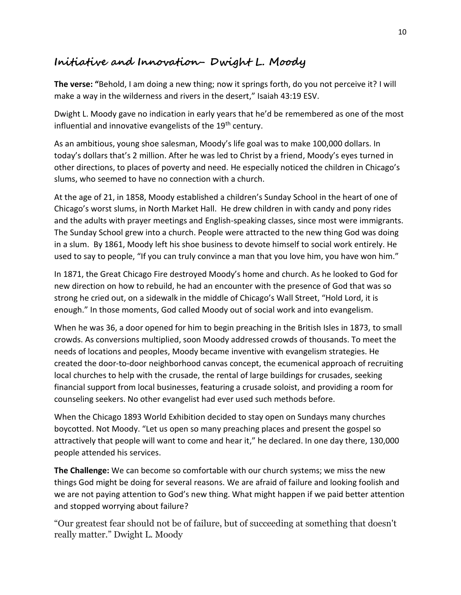# **Initiative and Innovation- Dwight L. Moody**

**The verse: "**Behold, I am doing a new thing; now it springs forth, do you not perceive it? I will make a way in the wilderness and rivers in the desert," Isaiah 43:19 ESV.

Dwight L. Moody gave no indication in early years that he'd be remembered as one of the most influential and innovative evangelists of the 19<sup>th</sup> century.

As an ambitious, young shoe salesman, Moody's life goal was to make 100,000 dollars. In today's dollars that's 2 million. After he was led to Christ by a friend, Moody's eyes turned in other directions, to places of poverty and need. He especially noticed the children in Chicago's slums, who seemed to have no connection with a church.

At the age of 21, in 1858, Moody established a children's Sunday School in the heart of one of Chicago's worst slums, in North Market Hall. He drew children in with candy and pony rides and the adults with prayer meetings and English-speaking classes, since most were immigrants. The Sunday School grew into a church. People were attracted to the new thing God was doing in a slum. By 1861, Moody left his shoe business to devote himself to social work entirely. He used to say to people, "If you can truly convince a man that you love him, you have won him."

In 1871, the Great Chicago Fire destroyed Moody's home and church. As he looked to God for new direction on how to rebuild, he had an encounter with the presence of God that was so strong he cried out, on a sidewalk in the middle of Chicago's Wall Street, "Hold Lord, it is enough." In those moments, God called Moody out of social work and into evangelism.

When he was 36, a door opened for him to begin preaching in the British Isles in 1873, to small crowds. As conversions multiplied, soon Moody addressed crowds of thousands. To meet the needs of locations and peoples, Moody became inventive with evangelism strategies. He created the door-to-door neighborhood canvas concept, the ecumenical approach of recruiting local churches to help with the crusade, the rental of large buildings for crusades, seeking financial support from local businesses, featuring a crusade soloist, and providing a room for counseling seekers. No other evangelist had ever used such methods before.

When the Chicago 1893 World Exhibition decided to stay open on Sundays many churches boycotted. Not Moody. "Let us open so many preaching places and present the gospel so attractively that people will want to come and hear it," he declared. In one day there, 130,000 people attended his services.

**The Challenge:** We can become so comfortable with our church systems; we miss the new things God might be doing for several reasons. We are afraid of failure and looking foolish and we are not paying attention to God's new thing. What might happen if we paid better attention and stopped worrying about failure?

"Our greatest fear should not be of failure, but of succeeding at something that doesn't really matter." Dwight L. Moody